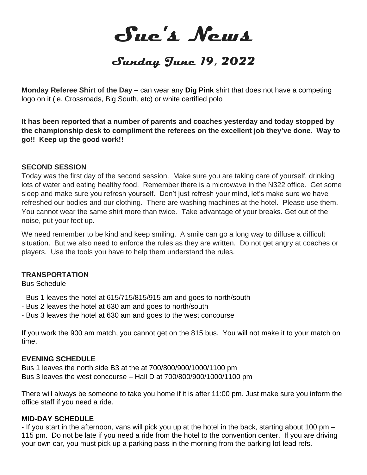**Sue's News**

# **Sunday June 19, 2022**

**Monday Referee Shirt of the Day –** can wear any **Dig Pink** shirt that does not have a competing logo on it (ie, Crossroads, Big South, etc) or white certified polo

**It has been reported that a number of parents and coaches yesterday and today stopped by the championship desk to compliment the referees on the excellent job they've done. Way to go!! Keep up the good work!!**

#### **SECOND SESSION**

Today was the first day of the second session. Make sure you are taking care of yourself, drinking lots of water and eating healthy food. Remember there is a microwave in the N322 office. Get some sleep and make sure you refresh yourself. Don't just refresh your mind, let's make sure we have refreshed our bodies and our clothing. There are washing machines at the hotel. Please use them. You cannot wear the same shirt more than twice. Take advantage of your breaks. Get out of the noise, put your feet up.

We need remember to be kind and keep smiling. A smile can go a long way to diffuse a difficult situation. But we also need to enforce the rules as they are written. Do not get angry at coaches or players. Use the tools you have to help them understand the rules.

#### **TRANSPORTATION**

Bus Schedule

- Bus 1 leaves the hotel at 615/715/815/915 am and goes to north/south
- Bus 2 leaves the hotel at 630 am and goes to north/south
- Bus 3 leaves the hotel at 630 am and goes to the west concourse

If you work the 900 am match, you cannot get on the 815 bus. You will not make it to your match on time.

#### **EVENING SCHEDULE**

Bus 1 leaves the north side B3 at the at 700/800/900/1000/1100 pm Bus 3 leaves the west concourse – Hall D at 700/800/900/1000/1100 pm

There will always be someone to take you home if it is after 11:00 pm. Just make sure you inform the office staff if you need a ride.

#### **MID-DAY SCHEDULE**

- If you start in the afternoon, vans will pick you up at the hotel in the back, starting about 100 pm – 115 pm. Do not be late if you need a ride from the hotel to the convention center. If you are driving your own car, you must pick up a parking pass in the morning from the parking lot lead refs.